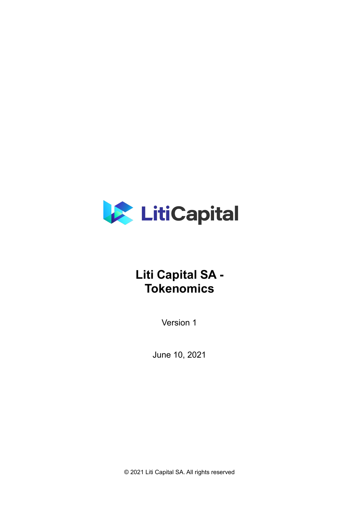

# **Liti Capital SA - Tokenomics**

<span id="page-0-0"></span>Version 1

<span id="page-0-1"></span>June 10, 2021

© 2021 Liti Capital SA. All rights reserved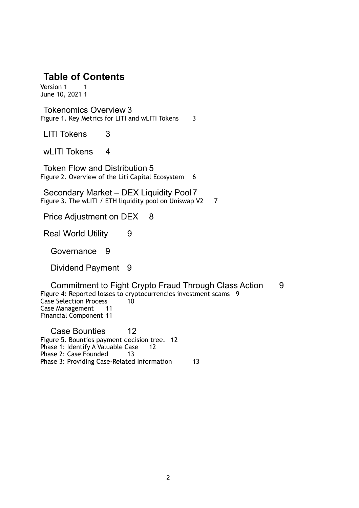### **Table of Contents**

[Version 1](#page-0-0) 1 [June 10, 2021](#page-0-1) 1

[Tokenomics Overview](#page-2-0) 3 [Figure 1. Key Metrics for LITI and wLITI Tokens](#page-2-1) 3

[LITI Tokens](#page-2-2) 3

[wLITI Tokens](#page-3-0) 4

[Token Flow and Distribution](#page-4-0) 5 [Figure 2. Overview of the Liti Capital Ecosystem](#page-5-0) 6

[Secondary Market – DEX Liquidity Pool7](#page-6-0) [Figure 3. The wLITI / ETH liquidity pool on Uniswap V2](#page-6-1) 7

[Price Adjustment on DEX](#page-7-0) 8

[Real World Utility](#page-8-0) 9

[Governance](#page-8-1) 9

[Dividend Payment](#page-8-2) 9

[Commitment to Fight Crypto Fraud Through Class Action](#page-8-3) 9 [Figure 4: Reported losses to cryptocurrencies investment scams](#page-8-4) 9<br>Case Selection Process 10 [Case Selection Process](#page-9-0) [Case Management](#page-10-0) 11 [Financial Component](#page-10-1) 11

[Case Bounties](#page-11-0)[Figure 5. Bounties payment decision tree.](#page-11-1) 12 [Phase 1: Identify A Valuable Case](#page-11-2)[Phase 2: Case Founded](#page-12-0)[Phase 3: Providing Case-Related Information](#page-12-1)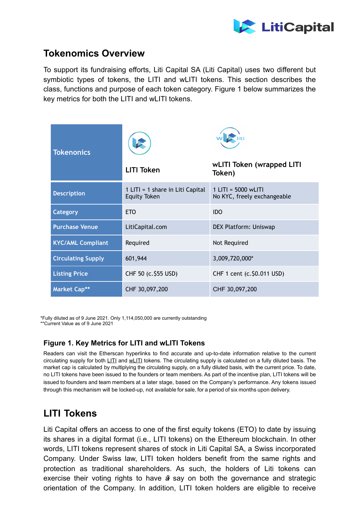

## <span id="page-2-0"></span>**Tokenomics Overview**

To support its fundraising efforts, Liti Capital SA (Liti Capital) uses two different but symbiotic types of tokens, the LITI and wLITI tokens. This section describes the class, functions and purpose of each token category. Figure 1 below summarizes the key metrics for both the LITI and wLITI tokens.

| <b>Tokenonics</b>         | <b>LITI Token</b>                                       | wLITI Token (wrapped LITI<br>Token)                  |
|---------------------------|---------------------------------------------------------|------------------------------------------------------|
| <b>Description</b>        | 1 LITI = 1 share in Liti Capital<br><b>Equity Token</b> | $1$ LITI = 5000 wLITI<br>No KYC, freely exchangeable |
| Category                  | <b>ETO</b>                                              | <b>IDO</b>                                           |
| <b>Purchase Venue</b>     | LitiCapital.com                                         | DEX Platform: Uniswap                                |
| <b>KYC/AML Compliant</b>  | Required                                                | Not Required                                         |
| <b>Circulating Supply</b> | 601,944                                                 | 3,009,720,000*                                       |
| <b>Listing Price</b>      | CHF 50 (c. \$55 USD)                                    | CHF 1 cent (c. \$0.011 USD)                          |
| <b>Market Cap**</b>       | CHF 30,097,200                                          | CHF 30,097,200                                       |

\*Fully diluted as of 9 June 2021. Only 1,114,050,000 are currently outstanding \*\*Current Value as of 9 June 2021

#### <span id="page-2-1"></span>**Figure 1. Key Metrics for LITI and wLITI Tokens**

Readers can visit the Etherscan hyperlinks to find accurate and up-to-date information relative to the current circulating supply for both LITI and wLITI tokens. The circulating supply is calculated on a fully diluted basis. The market cap is calculated by multiplying the circulating supply, on a fully diluted basis, with the current price. To date, no LITI tokens have been issued to the founders or team members. As part of the incentive plan, LITI tokens will be issued to founders and team members at a later stage, based on the Company's performance. Any tokens issued through this mechanism will be locked-up, not available for sale, for a period of six months upon delivery.

## <span id="page-2-2"></span>**LITI Tokens**

exercise their voting rights to have  $\hat{\boldsymbol{\alpha}}$  say on both the governance and strategic Liti Capital offers an access to one of the first equity tokens (ETO) to date by issuing its shares in a digital format (i.e., LITI tokens) on the Ethereum blockchain. In other words, LITI tokens represent shares of stock in Liti Capital SA, a Swiss incorporated Company. Under Swiss law, LITI token holders benefit from the same rights and protection as traditional shareholders. As such, the holders of Liti tokens can orientation of the Company. In addition, LITI token holders are eligible to receive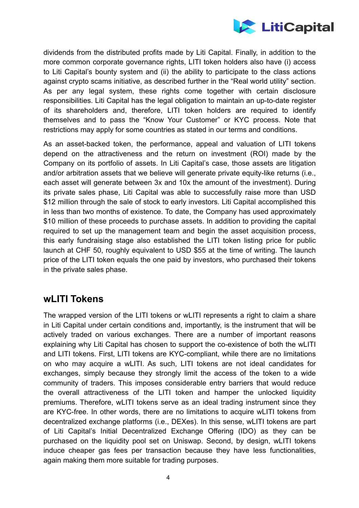

dividends from the distributed profits made by Liti Capital. Finally, in addition to the more common corporate governance rights, LITI token holders also have (i) access to Liti Capital's bounty system and (ii) the ability to participate to the class actions against crypto scams initiative, as described further in the "Real world utility" section. As per any legal system, these rights come together with certain disclosure responsibilities. Liti Capital has the legal obligation to maintain an up-to-date register of its shareholders and, therefore, LITI token holders are required to identify themselves and to pass the "Know Your Customer" or KYC process. Note that restrictions may apply for some countries as stated in our terms and conditions.

As an asset-backed token, the performance, appeal and valuation of LITI tokens depend on the attractiveness and the return on investment (ROI) made by the Company on its portfolio of assets. In Liti Capital's case, those assets are litigation and/or arbitration assets that we believe will generate private equity-like returns (i.e., each asset will generate between 3x and 10x the amount of the investment). During its private sales phase, Liti Capital was able to successfully raise more than USD \$12 million through the sale of stock to early investors. Liti Capital accomplished this in less than two months of existence. To date, the Company has used approximately \$10 million of these proceeds to purchase assets. In addition to providing the capital required to set up the management team and begin the asset acquisition process, this early fundraising stage also established the LITI token listing price for public launch at CHF 50, roughly equivalent to USD \$55 at the time of writing. The launch price of the LITI token equals the one paid by investors, who purchased their tokens in the private sales phase.

## <span id="page-3-0"></span>**wLITI Tokens**

The wrapped version of the LITI tokens or wLITI represents a right to claim a share in Liti Capital under certain conditions and, importantly, is the instrument that will be actively traded on various exchanges. There are a number of important reasons explaining why Liti Capital has chosen to support the co-existence of both the wLITI and LITI tokens. First, LITI tokens are KYC-compliant, while there are no limitations on who may acquire a wLITI. As such, LITI tokens are not ideal candidates for exchanges, simply because they strongly limit the access of the token to a wide community of traders. This imposes considerable entry barriers that would reduce the overall attractiveness of the LITI token and hamper the unlocked liquidity premiums. Therefore, wLITI tokens serve as an ideal trading instrument since they are KYC-free. In other words, there are no limitations to acquire wLITI tokens from decentralized exchange platforms (i.e., DEXes). In this sense, wLITI tokens are part of Liti Capital's Initial Decentralized Exchange Offering (IDO) as they can be purchased on the liquidity pool set on Uniswap. Second, by design, wLITI tokens induce cheaper gas fees per transaction because they have less functionalities, again making them more suitable for trading purposes.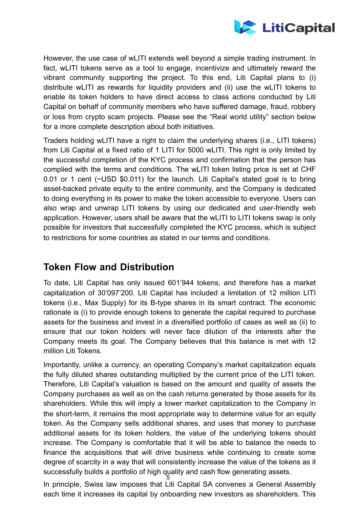

However, the use case of wLITI extends well beyond a simple trading instrument. In fact, wLITI tokens serve as a tool to engage, incentivize and ultimately reward the vibrant community supporting the project. To this end, Liti Capital plans to (i) distribute wLITI as rewards for liquidity providers and (ii) use the wLITI tokens to enable its token holders to have direct access to class actions conducted by Liti Capital on behalf of community members who have suffered damage, fraud, robbery or loss from crypto scam projects. Please see the "Real world utility" section below for a more complete description about both initiatives.

Traders holding wLITI have a right to claim the underlying shares (i.e., LITI tokens) from Liti Capital at a fixed ratio of 1 LITI for 5000 wLITI. This right is only limited by the successful completion of the KYC process and confirmation that the person has complied with the terms and conditions. The wLITI token listing price is set at CHF 0.01 or 1 cent (~USD \$0.011) for the launch. Liti Capital's stated goal is to bring asset-backed private equity to the entire community, and the Company is dedicated to doing everything in its power to make the token accessible to everyone. Users can also wrap and unwrap LITI tokens by using our dedicated and user-friendly web application. However, users shall be aware that the wLITI to LITI tokens swap is only possible for investors that successfully completed the KYC process, which is subject to restrictions for some countries as stated in our terms and conditions.

## <span id="page-4-0"></span>**Token Flow and Distribution**

To date, Liti Capital has only issued 601'944 tokens, and therefore has a market capitalization of 30'097'200. Liti Capital has included a limitation of 12 million LITI tokens (i.e., Max Supply) for its B-type shares in its smart contract. The economic rationale is (i) to provide enough tokens to generate the capital required to purchase assets for the business and invest in a diversified portfolio of cases as well as (ii) to ensure that our token holders will never face dilution of the interests after the Company meets its goal. The Company believes that this balance is met with 12 million Liti Tokens.

Importantly, unlike a currency, an operating Company's market capitalization equals the fully diluted shares outstanding multiplied by the current price of the LITI token. Therefore, Liti Capital's valuation is based on the amount and quality of assets the Company purchases as well as on the cash returns generated by those assets for its shareholders. While this will imply a lower market capitalization to the Company in the short-term, it remains the most appropriate way to determine value for an equity token. As the Company sells additional shares, and uses that money to purchase additional assets for its token holders, the value of the underlying tokens should increase. The Company is comfortable that it will be able to balance the needs to finance the acquisitions that will drive business while continuing to create some degree of scarcity in a way that will consistently increase the value of the tokens as it successfully builds a portfolio of high quality and cash flow generating assets.

5 In principle, Swiss law imposes that Liti Capital SA convenes a General Assembly each time it increases its capital by onboarding new investors as shareholders. This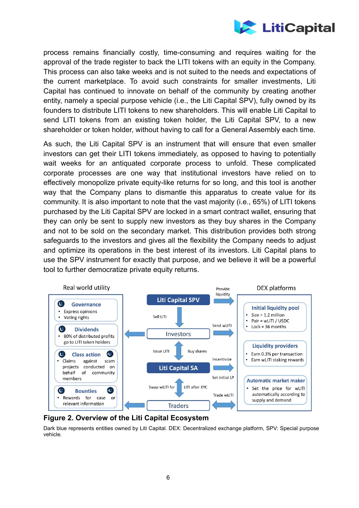

process remains financially costly, time-consuming and requires waiting for the approval of the trade register to back the LITI tokens with an equity in the Company. This process can also take weeks and is not suited to the needs and expectations of the current marketplace. To avoid such constraints for smaller investments, Liti Capital has continued to innovate on behalf of the community by creating another entity, namely a special purpose vehicle (i.e., the Liti Capital SPV), fully owned by its founders to distribute LITI tokens to new shareholders. This will enable Liti Capital to send LITI tokens from an existing token holder, the Liti Capital SPV, to a new shareholder or token holder, without having to call for a General Assembly each time.

As such, the Liti Capital SPV is an instrument that will ensure that even smaller investors can get their LITI tokens immediately, as opposed to having to potentially wait weeks for an antiquated corporate process to unfold. These complicated corporate processes are one way that institutional investors have relied on to effectively monopolize private equity-like returns for so long, and this tool is another way that the Company plans to dismantle this apparatus to create value for its community. It is also important to note that the vast majority (i.e., 65%) of LITI tokens purchased by the Liti Capital SPV are locked in a smart contract wallet, ensuring that they can only be sent to supply new investors as they buy shares in the Company and not to be sold on the secondary market. This distribution provides both strong safeguards to the investors and gives all the flexibility the Company needs to adjust and optimize its operations in the best interest of its investors. Liti Capital plans to use the SPV instrument for exactly that purpose, and we believe it will be a powerful tool to further democratize private equity returns.



#### <span id="page-5-0"></span>**Figure 2. Overview of the Liti Capital Ecosystem**

Dark blue represents entities owned by Liti Capital. DEX: Decentralized exchange platform, SPV: Special purpose vehicle.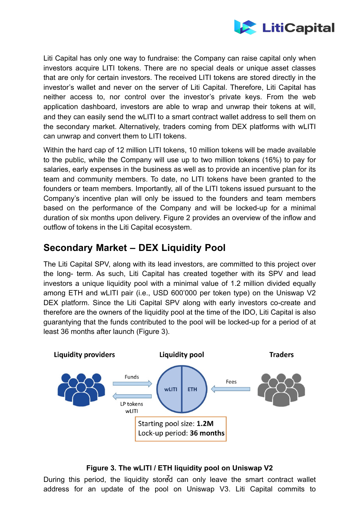

Liti Capital has only one way to fundraise: the Company can raise capital only when investors acquire LITI tokens. There are no special deals or unique asset classes that are only for certain investors. The received LITI tokens are stored directly in the investor's wallet and never on the server of Liti Capital. Therefore, Liti Capital has neither access to, nor control over the investor's private keys. From the web application dashboard, investors are able to wrap and unwrap their tokens at will, and they can easily send the wLITI to a smart contract wallet address to sell them on the secondary market. Alternatively, traders coming from DEX platforms with wLITI can unwrap and convert them to LITI tokens.

Within the hard cap of 12 million LITI tokens, 10 million tokens will be made available to the public, while the Company will use up to two million tokens (16%) to pay for salaries, early expenses in the business as well as to provide an incentive plan for its team and community members. To date, no LITI tokens have been granted to the founders or team members. Importantly, all of the LITI tokens issued pursuant to the Company's incentive plan will only be issued to the founders and team members based on the performance of the Company and will be locked-up for a minimal duration of six months upon delivery. Figure 2 provides an overview of the inflow and outflow of tokens in the Liti Capital ecosystem.

## <span id="page-6-0"></span>**Secondary Market – DEX Liquidity Pool**

The Liti Capital SPV, along with its lead investors, are committed to this project over the long- term. As such, Liti Capital has created together with its SPV and lead investors a unique liquidity pool with a minimal value of 1.2 million divided equally among ETH and wLITI pair (i.e., USD 600'000 per token type) on the Uniswap V2 DEX platform. Since the Liti Capital SPV along with early investors co-create and therefore are the owners of the liquidity pool at the time of the IDO, Liti Capital is also guarantying that the funds contributed to the pool will be locked-up for a period of at least 36 months after launch (Figure 3).



#### <span id="page-6-1"></span>**Figure 3. The wLITI / ETH liquidity pool on Uniswap V2**

During this period, the liquidity stored can only leave the smart contract wallet address for an update of the pool on Uniswap V3. Liti Capital commits to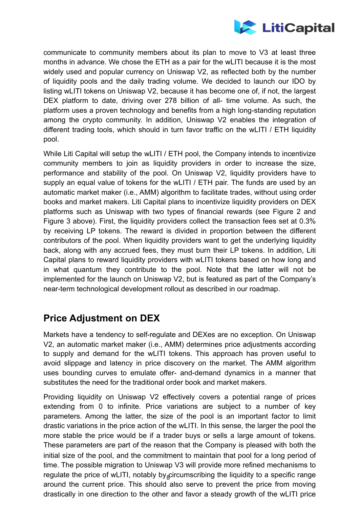

communicate to community members about its plan to move to V3 at least three months in advance. We chose the ETH as a pair for the wLITI because it is the most widely used and popular currency on Uniswap V2, as reflected both by the number of liquidity pools and the daily trading volume. We decided to launch our IDO by listing wLITI tokens on Uniswap V2, because it has become one of, if not, the largest DEX platform to date, driving over 278 billion of all- time volume. As such, the platform uses a proven technology and benefits from a high long-standing reputation among the crypto community. In addition, Uniswap V2 enables the integration of different trading tools, which should in turn favor traffic on the wLITI / ETH liquidity pool.

While Liti Capital will setup the wLITI / ETH pool, the Company intends to incentivize community members to join as liquidity providers in order to increase the size, performance and stability of the pool. On Uniswap V2, liquidity providers have to supply an equal value of tokens for the wLITI / ETH pair. The funds are used by an automatic market maker (i.e., AMM) algorithm to facilitate trades, without using order books and market makers. Liti Capital plans to incentivize liquidity providers on DEX platforms such as Uniswap with two types of financial rewards (see Figure 2 and Figure 3 above). First, the liquidity providers collect the transaction fees set at 0.3% by receiving LP tokens. The reward is divided in proportion between the different contributors of the pool. When liquidity providers want to get the underlying liquidity back, along with any accrued fees, they must burn their LP tokens. In addition, Liti Capital plans to reward liquidity providers with wLITI tokens based on how long and in what quantum they contribute to the pool. Note that the latter will not be implemented for the launch on Uniswap V2, but is featured as part of the Company's near-term technological development rollout as described in our roadmap.

## <span id="page-7-0"></span>**Price Adjustment on DEX**

Markets have a tendency to self-regulate and DEXes are no exception. On Uniswap V2, an automatic market maker (i.e., AMM) determines price adjustments according to supply and demand for the wLITI tokens. This approach has proven useful to avoid slippage and latency in price discovery on the market. The AMM algorithm uses bounding curves to emulate offer- and-demand dynamics in a manner that substitutes the need for the traditional order book and market makers.

regulate the price of wLITI, notably by<sub>s</sub>circumscribing the liquidity to a specific range Providing liquidity on Uniswap V2 effectively covers a potential range of prices extending from 0 to infinite. Price variations are subject to a number of key parameters. Among the latter, the size of the pool is an important factor to limit drastic variations in the price action of the wLITI. In this sense, the larger the pool the more stable the price would be if a trader buys or sells a large amount of tokens. These parameters are part of the reason that the Company is pleased with both the initial size of the pool, and the commitment to maintain that pool for a long period of time. The possible migration to Uniswap V3 will provide more refined mechanisms to around the current price. This should also serve to prevent the price from moving drastically in one direction to the other and favor a steady growth of the wLITI price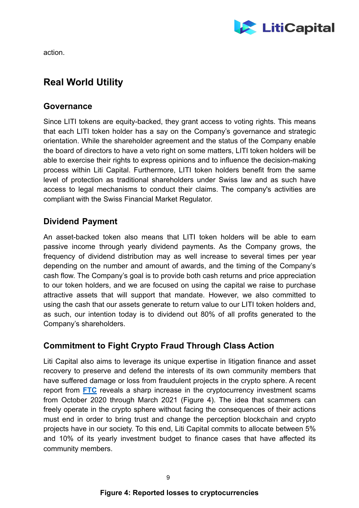

action.

## <span id="page-8-0"></span>**Real World Utility**

#### <span id="page-8-1"></span>**Governance**

Since LITI tokens are equity-backed, they grant access to voting rights. This means that each LITI token holder has a say on the Company's governance and strategic orientation. While the shareholder agreement and the status of the Company enable the board of directors to have a veto right on some matters, LITI token holders will be able to exercise their rights to express opinions and to influence the decision-making process within Liti Capital. Furthermore, LITI token holders benefit from the same level of protection as traditional shareholders under Swiss law and as such have access to legal mechanisms to conduct their claims. The company's activities are compliant with the Swiss Financial Market Regulator.

#### <span id="page-8-2"></span>**Dividend Payment**

An asset-backed token also means that LITI token holders will be able to earn passive income through yearly dividend payments. As the Company grows, the frequency of dividend distribution may as well increase to several times per year depending on the number and amount of awards, and the timing of the Company's cash flow. The Company's goal is to provide both cash returns and price appreciation to our token holders, and we are focused on using the capital we raise to purchase attractive assets that will support that mandate. However, we also committed to using the cash that our assets generate to return value to our LITI token holders and, as such, our intention today is to dividend out 80% of all profits generated to the Company's shareholders.

### <span id="page-8-3"></span>**Commitment to Fight Crypto Fraud Through Class Action**

<span id="page-8-4"></span>Liti Capital also aims to leverage its unique expertise in litigation finance and asset recovery to preserve and defend the interests of its own community members that have suffered damage or loss from fraudulent projects in the crypto sphere. A recent report from **FTC** reveals a sharp increase in the cryptocurrency investment scams from October 2020 through March 2021 (Figure 4). The idea that scammers can freely operate in the crypto sphere without facing the consequences of their actions must end in order to bring trust and change the perception blockchain and crypto projects have in our society. To this end, Liti Capital commits to allocate between 5% and 10% of its yearly investment budget to finance cases that have affected its community members.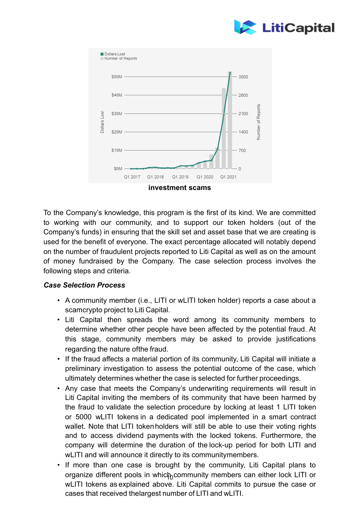



To the Company's knowledge, this program is the first of its kind. We are committed to working with our community, and to support our token holders (out of the Company's funds) in ensuring that the skill set and asset base that we are creating is used for the benefit of everyone. The exact percentage allocated will notably depend on the number of fraudulent projects reported to Liti Capital as well as on the amount of money fundraised by the Company. The case selection process involves the following steps and criteria.

#### <span id="page-9-0"></span>*Case Selection Process*

- A community member (i.e., LITI or wLITI token holder) reports a case about a scamcrypto project to Liti Capital.
- Liti Capital then spreads the word among its community members to determine whether other people have been affected by the potential fraud. At this stage, community members may be asked to provide justifications regarding the nature ofthe fraud.
- If the fraud affects a material portion of its community, Liti Capital will initiate a preliminary investigation to assess the potential outcome of the case, which ultimately determines whether the case is selected for further proceedings.
- Any case that meets the Company's underwriting requirements will result in Liti Capital inviting the members of its community that have been harmed by the fraud to validate the selection procedure by locking at least 1 LITI token or 5000 wLITI tokens in a dedicated pool implemented in a smart contract wallet. Note that LITI token holders will still be able to use their voting rights and to access dividend payments with the locked tokens. Furthermore, the company will determine the duration of the lock-up period for both LITI and wLITI and will announce it directly to its communitymembers.
- organize different pools in whic ${\mathfrak h}_0$ community members can either lock LITI or If more than one case is brought by the community, Liti Capital plans to wLITI tokens as explained above. Liti Capital commits to pursue the case or cases that received thelargest number of LITI and wLITI.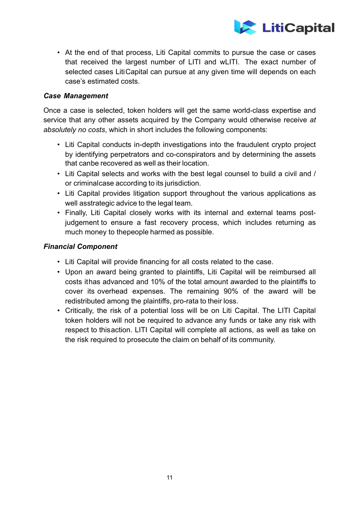

• At the end of that process, Liti Capital commits to pursue the case or cases that received the largest number of LITI and wLITI. The exact number of selected cases LitiCapital can pursue at any given time will depends on each case's estimated costs.

#### <span id="page-10-0"></span>*Case Management*

Once a case is selected, token holders will get the same world-class expertise and service that any other assets acquired by the Company would otherwise receive *at absolutely no costs*, which in short includes the following components:

- Liti Capital conducts in-depth investigations into the fraudulent crypto project by identifying perpetrators and co-conspirators and by determining the assets that canbe recovered as well as their location.
- Liti Capital selects and works with the best legal counsel to build a civil and / or criminalcase according to its jurisdiction.
- Liti Capital provides litigation support throughout the various applications as well asstrategic advice to the legal team.
- Finally, Liti Capital closely works with its internal and external teams postjudgement to ensure a fast recovery process, which includes returning as much money to thepeople harmed as possible.

#### <span id="page-10-1"></span>*Financial Component*

- Liti Capital will provide financing for all costs related to the case.
- Upon an award being granted to plaintiffs, Liti Capital will be reimbursed all costs ithas advanced and 10% of the total amount awarded to the plaintiffs to cover its overhead expenses. The remaining 90% of the award will be redistributed among the plaintiffs, pro-rata to their loss.
- Critically, the risk of a potential loss will be on Liti Capital. The LITI Capital token holders will not be required to advance any funds or take any risk with respect to thisaction. LITI Capital will complete all actions, as well as take on the risk required to prosecute the claim on behalf of its community.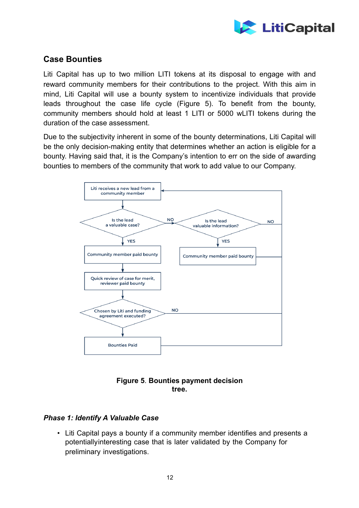

#### <span id="page-11-0"></span>**Case Bounties**

Liti Capital has up to two million LITI tokens at its disposal to engage with and reward community members for their contributions to the project. With this aim in mind, Liti Capital will use a bounty system to incentivize individuals that provide leads throughout the case life cycle (Figure 5). To benefit from the bounty, community members should hold at least 1 LITI or 5000 wLITI tokens during the duration of the case assessment.

Due to the subjectivity inherent in some of the bounty determinations, Liti Capital will be the only decision-making entity that determines whether an action is eligible for a bounty. Having said that, it is the Company's intention to err on the side of awarding bounties to members of the community that work to add value to our Company.



#### <span id="page-11-1"></span>**Figure 5**. **Bounties payment decision tree.**

#### <span id="page-11-2"></span>*Phase 1: Identify A Valuable Case*

• Liti Capital pays a bounty if a community member identifies and presents a potentiallyinteresting case that is later validated by the Company for preliminary investigations.